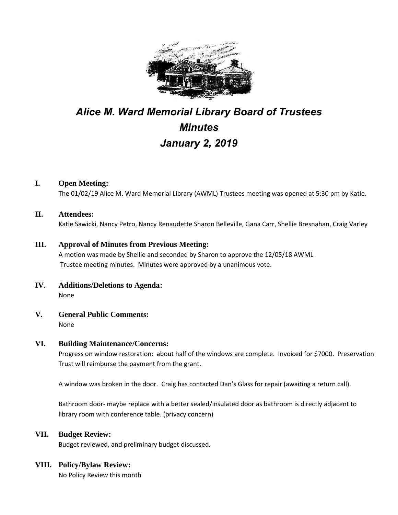

# *Alice M. Ward Memorial Library Board of Trustees Minutes January 2, 2019*

# **I. Open Meeting:**

The 01/02/19 Alice M. Ward Memorial Library (AWML) Trustees meeting was opened at 5:30 pm by Katie.

#### **II. Attendees:**

Katie Sawicki, Nancy Petro, Nancy Renaudette Sharon Belleville, Gana Carr, Shellie Bresnahan, Craig Varley

#### **III. Approval of Minutes from Previous Meeting:**

A motion was made by Shellie and seconded by Sharon to approve the 12/05/18 AWML Trustee meeting minutes. Minutes were approved by a unanimous vote.

- **IV. Additions/Deletions to Agenda:** None
- **V. General Public Comments:**

None

#### **VI. Building Maintenance/Concerns:**

Progress on window restoration: about half of the windows are complete. Invoiced for \$7000. Preservation Trust will reimburse the payment from the grant.

A window was broken in the door. Craig has contacted Dan's Glass for repair (awaiting a return call).

Bathroom door- maybe replace with a better sealed/insulated door as bathroom is directly adjacent to library room with conference table. (privacy concern)

#### **VII. Budget Review:**

Budget reviewed, and preliminary budget discussed.

### **VIII. Policy/Bylaw Review:**

No Policy Review this month